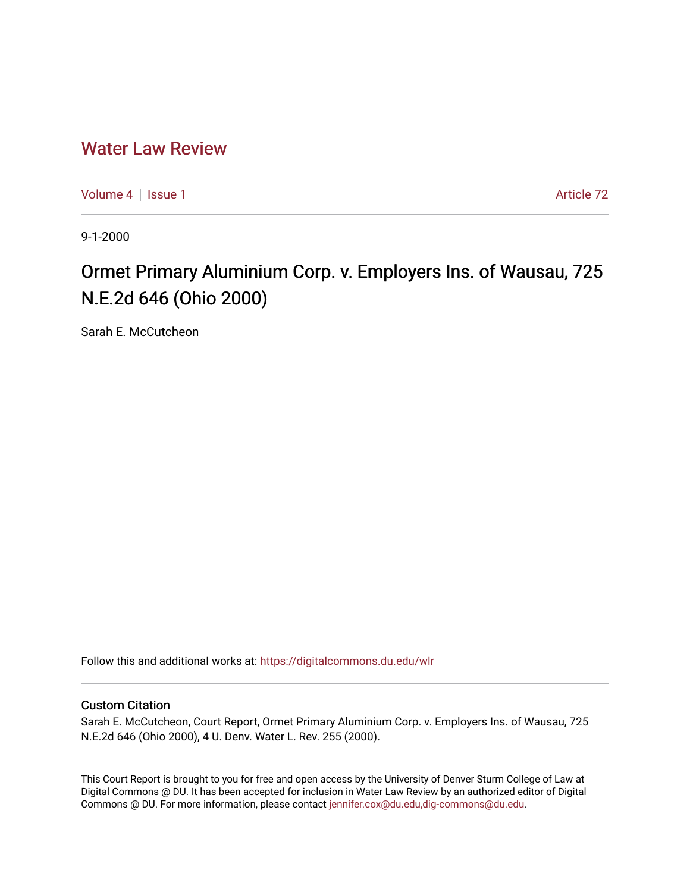# [Water Law Review](https://digitalcommons.du.edu/wlr)

[Volume 4](https://digitalcommons.du.edu/wlr/vol4) | [Issue 1](https://digitalcommons.du.edu/wlr/vol4/iss1) Article 72

9-1-2000

# Ormet Primary Aluminium Corp. v. Employers Ins. of Wausau, 725 N.E.2d 646 (Ohio 2000)

Sarah E. McCutcheon

Follow this and additional works at: [https://digitalcommons.du.edu/wlr](https://digitalcommons.du.edu/wlr?utm_source=digitalcommons.du.edu%2Fwlr%2Fvol4%2Fiss1%2F72&utm_medium=PDF&utm_campaign=PDFCoverPages) 

## Custom Citation

Sarah E. McCutcheon, Court Report, Ormet Primary Aluminium Corp. v. Employers Ins. of Wausau, 725 N.E.2d 646 (Ohio 2000), 4 U. Denv. Water L. Rev. 255 (2000).

This Court Report is brought to you for free and open access by the University of Denver Sturm College of Law at Digital Commons @ DU. It has been accepted for inclusion in Water Law Review by an authorized editor of Digital Commons @ DU. For more information, please contact [jennifer.cox@du.edu,dig-commons@du.edu.](mailto:jennifer.cox@du.edu,dig-commons@du.edu)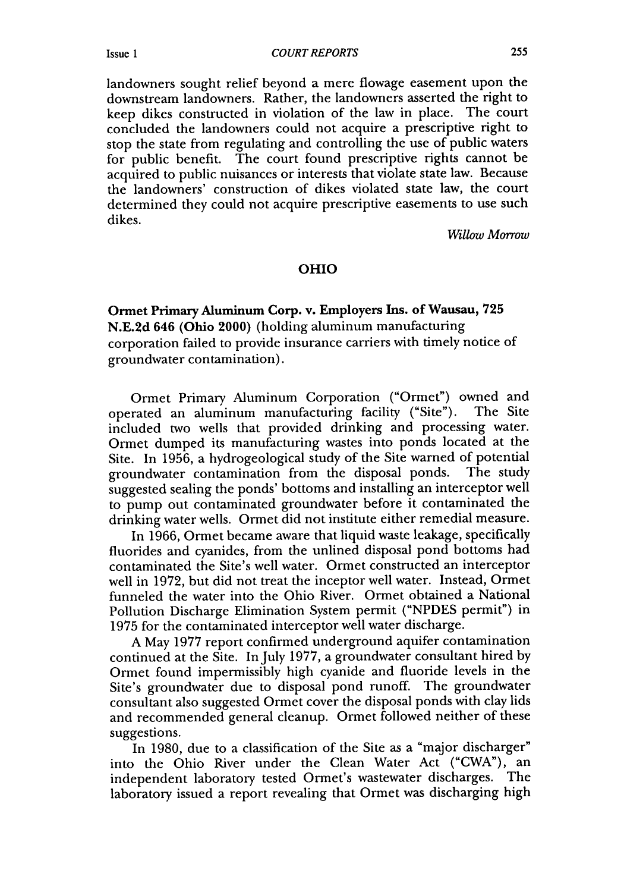*COURT REPORTS*

landowners sought relief beyond a mere flowage easement upon the downstream landowners. Rather, the landowners asserted the right to keep dikes constructed in violation of the law in place. The court concluded the landowners could not acquire a prescriptive right to stop the state from regulating and controlling the use of public waters for public benefit. The court found prescriptive rights cannot be acquired to public nuisances or interests that violate state law. Because the landowners' construction of dikes violated state law, the court determined they could not acquire prescriptive easements to use such dikes.

*Willow Morrow*

### OHIO

Ormet Primary Aluminum Corp. v. Employers Ins. of Wausau, **725** N.E.2d 646 (Ohio 2000) (holding aluminum manufacturing corporation failed to provide insurance carriers with timely notice of groundwater contamination).

Ormet Primary Aluminum Corporation ("Ormet") owned and operated an aluminum manufacturing facility ("Site"). included two wells that provided drinking and processing water. Ormet dumped its manufacturing wastes into ponds located at the Site. In 1956, a hydrogeological study of the Site warned of potential groundwater contamination from the disposal ponds. The study suggested sealing the ponds' bottoms and installing an interceptor well to pump out contaminated groundwater before it contaminated the drinking water wells. Ormet did not institute either remedial measure.

In 1966, Ormet became aware that liquid waste leakage, specifically fluorides and cyanides, from the unlined disposal pond bottoms had contaminated the Site's well water. Ormet constructed an interceptor well in 1972, but did not treat the inceptor well water. Instead, Ormet funneled the water into the Ohio River. Ormet obtained a National Pollution Discharge Elimination System permit ("NPDES permit") in 1975 for the contaminated interceptor well water discharge.

A May 1977 report confirmed underground aquifer contamination continued at the Site. In July 1977, a groundwater consultant hired by Ormet found impermissibly high cyanide and fluoride levels in the Site's groundwater due to disposal pond runoff. The groundwater consultant also suggested Ormet cover the disposal ponds with clay lids and recommended general cleanup. Ormet followed neither of these suggestions.

In 1980, due to a classification of the Site as a "major discharger" into the Ohio River under the Clean Water Act ("CWA"), an independent laboratory tested Ormet's wastewater discharges. The laboratory issued a report revealing that Ormet was discharging high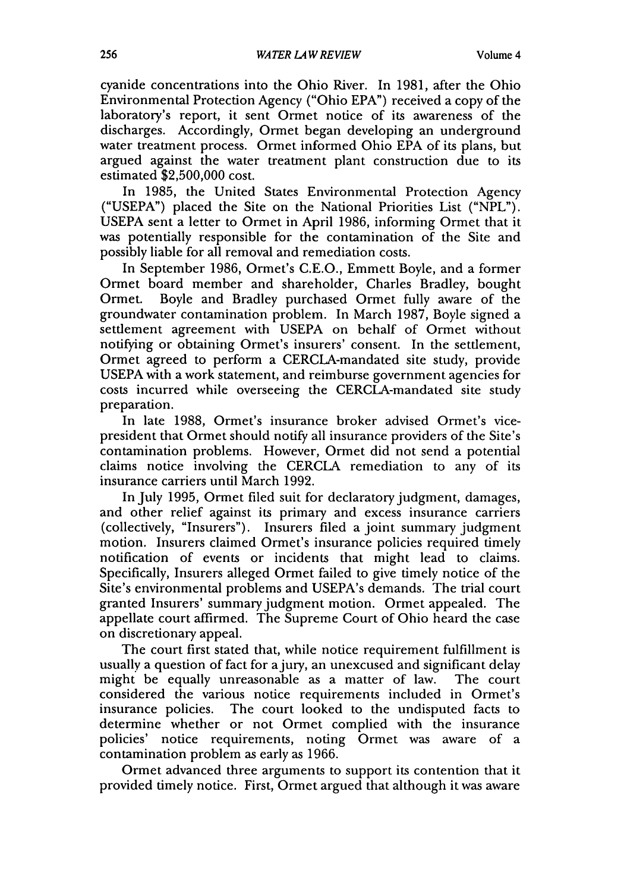cyanide concentrations into the Ohio River. In 1981, after the Ohio Environmental Protection Agency ("Ohio EPA") received a copy of the laboratory's report, it sent Ormet notice of its awareness of the discharges. Accordingly, Ormet began developing an underground water treatment process. Ormet informed Ohio EPA of its plans, but argued against the water treatment plant construction due to its estimated \$2,500,000 cost.

In 1985, the United States Environmental Protection Agency ("USEPA") placed the Site on the National Priorities List ("NPL"). USEPA sent a letter to Ormet in April 1986, informing Ormet that it was potentially responsible for the contamination of the Site and possibly liable for all removal and remediation costs.

In September 1986, Ormet's C.E.O., Emmett Boyle, and a former Ormet board member and shareholder, Charles Bradley, bought Boyle and Bradley purchased Ormet fully aware of the groundwater contamination problem. In March 1987, Boyle signed a settlement agreement with USEPA on behalf of Ormet without notifying or obtaining Ormet's insurers' consent. In the settlement, Ormet agreed to perform a CERCLA-mandated site study, provide USEPA with a work statement, and reimburse government agencies for costs incurred while overseeing the CERCLA-mandated site study preparation.

In late 1988, Ormet's insurance broker advised Ormet's vicepresident that Ormet should notify all insurance providers of the Site's contamination problems. However, Ormet did not send a potential claims notice involving the CERCLA remediation to any of its insurance carriers until March 1992.

In July 1995, Ormet filed suit for declaratory judgment, damages, and other relief against its primary and excess insurance carriers (collectively, "Insurers"). Insurers filed a joint summary judgment motion. Insurers claimed Ormet's insurance policies required timely notification of events or incidents that might lead to claims. Specifically, Insurers alleged Ormet failed to give timely notice of the Site's environmental problems and USEPA's demands. The trial court granted Insurers' summary judgment motion. Ormet appealed. The appellate court affirmed. The Supreme Court of Ohio heard the case on discretionary appeal.

The court first stated that, while notice requirement fulfillment is usually a question of fact for a jury, an unexcused and significant delay might be equally unreasonable as a matter of law. The court considered the various notice requirements included in Ormet's insurance policies. The court looked to the undisputed facts to determine whether or not Ormet complied with the insurance policies' notice requirements, noting Ormet was aware of a contamination problem as early as 1966.

Ormet advanced three arguments to support its contention that it provided timely notice. First, Ormet argued that although it was aware